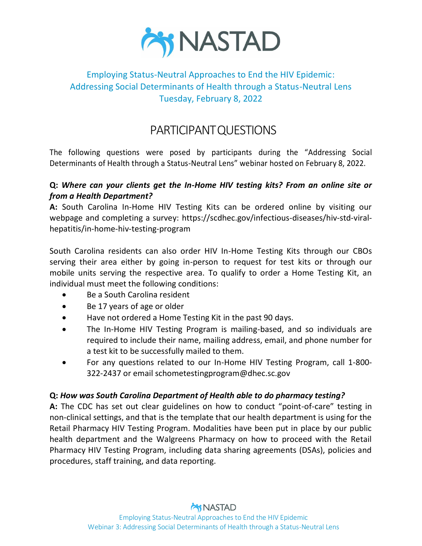

# Employing Status-Neutral Approaches to End the HIV Epidemic: Addressing Social Determinants of Health through a Status-Neutral Lens Tuesday, February 8, 2022

# PARTICIPANTQUESTIONS

The following questions were posed by participants during the "Addressing Social Determinants of Health through a Status-Neutral Lens" webinar hosted on February 8, 2022.

#### **Q:** *Where can your clients get the In-Home HIV testing kits? From an online site or from a Health Department?*

**A:** South Carolina In-Home HIV Testing Kits can be ordered online by visiting our webpage and completing a survey: https://scdhec.gov/infectious-diseases/hiv-std-viralhepatitis/in-home-hiv-testing-program

South Carolina residents can also order HIV In-Home Testing Kits through our CBOs serving their area either by going in-person to request for test kits or through our mobile units serving the respective area. To qualify to order a Home Testing Kit, an individual must meet the following conditions:

- Be a South Carolina resident
- Be 17 years of age or older
- Have not ordered a Home Testing Kit in the past 90 days.
- The In-Home HIV Testing Program is mailing-based, and so individuals are required to include their name, mailing address, email, and phone number for a test kit to be successfully mailed to them.
- For any questions related to our In-Home HIV Testing Program, call 1-800- 322-2437 or email schometestingprogram@dhec.sc.gov

#### **Q:** *How was South Carolina Department of Health able to do pharmacy testing?*

**A:** The CDC has set out clear guidelines on how to conduct "point-of-care" testing in non-clinical settings, and that is the template that our health department is using for the Retail Pharmacy HIV Testing Program. Modalities have been put in place by our public health department and the Walgreens Pharmacy on how to proceed with the Retail Pharmacy HIV Testing Program, including data sharing agreements (DSAs), policies and procedures, staff training, and data reporting.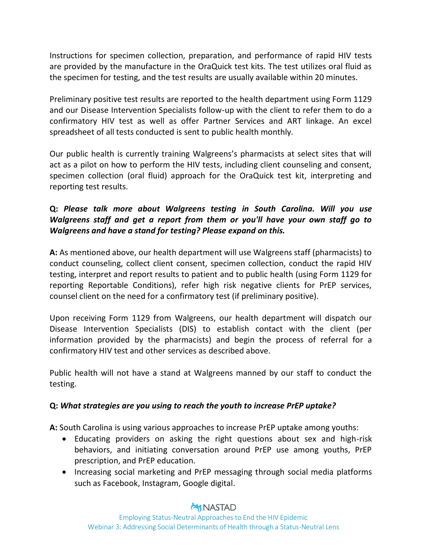Instructions for specimen collection, preparation, and performance of rapid HIV tests are provided by the manufacture in the OraQuick test kits. The test utilizes oral fluid as the specimen for testing, and the test results are usually available within 20 minutes.

Preliminary positive test results are reported to the health department using Form 1129 and our Disease Intervention Specialists follow-up with the client to refer them to do a confirmatory HIV test as well as offer Partner Services and ART linkage. An excel spreadsheet of all tests conducted is sent to public health monthly.

Our public health is currently training Walgreens's pharmacists at select sites that will act as a pilot on how to perform the HIV tests, including client counseling and consent, specimen collection (oral fluid) approach for the OraQuick test kit, interpreting and reporting test results.

### **Q:** *Please talk more about Walgreens testing in South Carolina. Will you use Walgreens staff and get a report from them or you'll have your own staff go to Walgreens and have a stand for testing? Please expand on this.*

**A:** As mentioned above, our health department will use Walgreens staff (pharmacists) to conduct counseling, collect client consent, specimen collection, conduct the rapid HIV testing, interpret and report results to patient and to public health (using Form 1129 for reporting Reportable Conditions), refer high risk negative clients for PrEP services, counsel client on the need for a confirmatory test (if preliminary positive).

Upon receiving Form 1129 from Walgreens, our health department will dispatch our Disease Intervention Specialists (DIS) to establish contact with the client (per information provided by the pharmacists) and begin the process of referral for a confirmatory HIV test and other services as described above.

Public health will not have a stand at Walgreens manned by our staff to conduct the testing.

#### **Q:** *What strategies are you using to reach the youth to increase PrEP uptake?*

**A:** South Carolina is using various approaches to increase PrEP uptake among youths:

- Educating providers on asking the right questions about sex and high-risk behaviors, and initiating conversation around PrEP use among youths, PrEP prescription, and PrEP education.
- Increasing social marketing and PrEP messaging through social media platforms such as Facebook, Instagram, Google digital.

### **MNASTAD**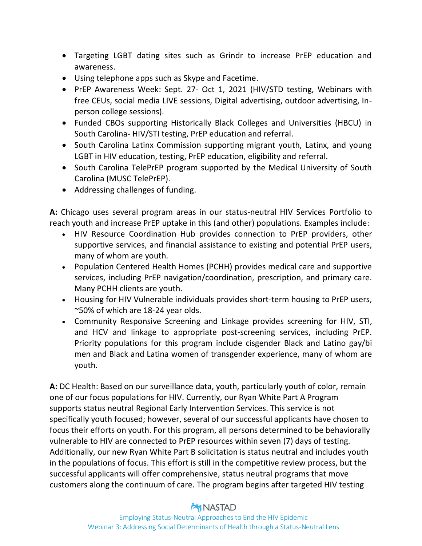- Targeting LGBT dating sites such as Grindr to increase PrEP education and awareness.
- Using telephone apps such as Skype and Facetime.
- PrEP Awareness Week: Sept. 27- Oct 1, 2021 (HIV/STD testing, Webinars with free CEUs, social media LIVE sessions, Digital advertising, outdoor advertising, Inperson college sessions).
- Funded CBOs supporting Historically Black Colleges and Universities (HBCU) in South Carolina- HIV/STI testing, PrEP education and referral.
- South Carolina Latinx Commission supporting migrant youth, Latinx, and young LGBT in HIV education, testing, PrEP education, eligibility and referral.
- South Carolina TelePrEP program supported by the Medical University of South Carolina (MUSC TelePrEP).
- Addressing challenges of funding.

**A:** Chicago uses several program areas in our status-neutral HIV Services Portfolio to reach youth and increase PrEP uptake in this (and other) populations. Examples include:

- HIV Resource Coordination Hub provides connection to PrEP providers, other supportive services, and financial assistance to existing and potential PrEP users, many of whom are youth.
- Population Centered Health Homes (PCHH) provides medical care and supportive services, including PrEP navigation/coordination, prescription, and primary care. Many PCHH clients are youth.
- Housing for HIV Vulnerable individuals provides short-term housing to PrEP users, ~50% of which are 18-24 year olds.
- Community Responsive Screening and Linkage provides screening for HIV, STI, and HCV and linkage to appropriate post-screening services, including PrEP. Priority populations for this program include cisgender Black and Latino gay/bi men and Black and Latina women of transgender experience, many of whom are youth.

**A:** DC Health: Based on our surveillance data, youth, particularly youth of color, remain one of our focus populations for HIV. Currently, our Ryan White Part A Program supports status neutral Regional Early Intervention Services. This service is not specifically youth focused; however, several of our successful applicants have chosen to focus their efforts on youth. For this program, all persons determined to be behaviorally vulnerable to HIV are connected to PrEP resources within seven (7) days of testing. Additionally, our new Ryan White Part B solicitation is status neutral and includes youth in the populations of focus. This effort is still in the competitive review process, but the successful applicants will offer comprehensive, status neutral programs that move customers along the continuum of care. The program begins after targeted HIV testing

## **MNASTAD**